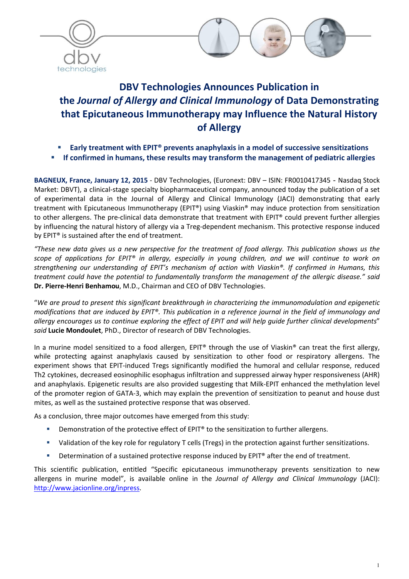



# DBV Technologies Announces Publication in the *Journal of Allergy and Clinical Immunology* of Data Demonstrating that Epicutaneous Immunotherapy may Influence the Natural History of Allergy

- Early treatment with EPIT® prevents anaphylaxis in a model of successive sensitizations
- If confirmed in humans, these results may transform the management of pediatric allergies

BAGNEUX, France, January 12, 2015 - DBV Technologies, (Euronext: DBV – ISIN: FR0010417345 - Nasdaq Stock Market: DBVT), a clinical-stage specialty biopharmaceutical company, announced today the publication of a set of experimental data in the Journal of Allergy and Clinical Immunology (JACI) demonstrating that early treatment with Epicutaneous Immunotherapy (EPIT®) using Viaskin® may induce protection from sensitization to other allergens. The pre-clinical data demonstrate that treatment with EPIT® could prevent further allergies by influencing the natural history of allergy via a Treg-dependent mechanism. This protective response induced by EPIT® is sustained after the end of treatment.

*"These new data gives us a new perspective for the treatment of food allergy. This publication shows us the scope of applications for EPIT® in allergy, especially in young children, and we will continue to work on strengthening our understanding of EPIT's mechanism of action with Viaskin®. If confirmed in Humans, this treatment could have the potential to fundamentally transform the management of the allergic disease." said*  Dr. Pierre-Henri Benhamou, M.D., Chairman and CEO of DBV Technologies.

"*We are proud to present this significant breakthrough in characterizing the immunomodulation and epigenetic modifications that are induced by EPIT®. This publication in a reference journal in the field of immunology and allergy encourages us to continue exploring the effect of EPIT and will help guide further clinical developments*" *said* Lucie Mondoulet, PhD., Director of research of DBV Technologies.

In a murine model sensitized to a food allergen, EPIT® through the use of Viaskin® can treat the first allergy, while protecting against anaphylaxis caused by sensitization to other food or respiratory allergens. The experiment shows that EPIT-induced Tregs significantly modified the humoral and cellular response, reduced Th2 cytokines, decreased eosinophilic esophagus infiltration and suppressed airway hyper responsiveness (AHR) and anaphylaxis. Epigenetic results are also provided suggesting that Milk-EPIT enhanced the methylation level of the promoter region of GATA-3, which may explain the prevention of sensitization to peanut and house dust mites, as well as the sustained protective response that was observed.

As a conclusion, three major outcomes have emerged from this study:

- Demonstration of the protective effect of EPIT<sup>®</sup> to the sensitization to further allergens.
- Validation of the key role for regulatory T cells (Tregs) in the protection against further sensitizations.
- Determination of a sustained protective response induced by EPIT® after the end of treatment.

This scientific publication, entitled "Specific epicutaneous immunotherapy prevents sensitization to new allergens in murine model", is available online in the *Journal of Allergy and Clinical Immunology* (JACI): http://www.jacionline.org/inpress.